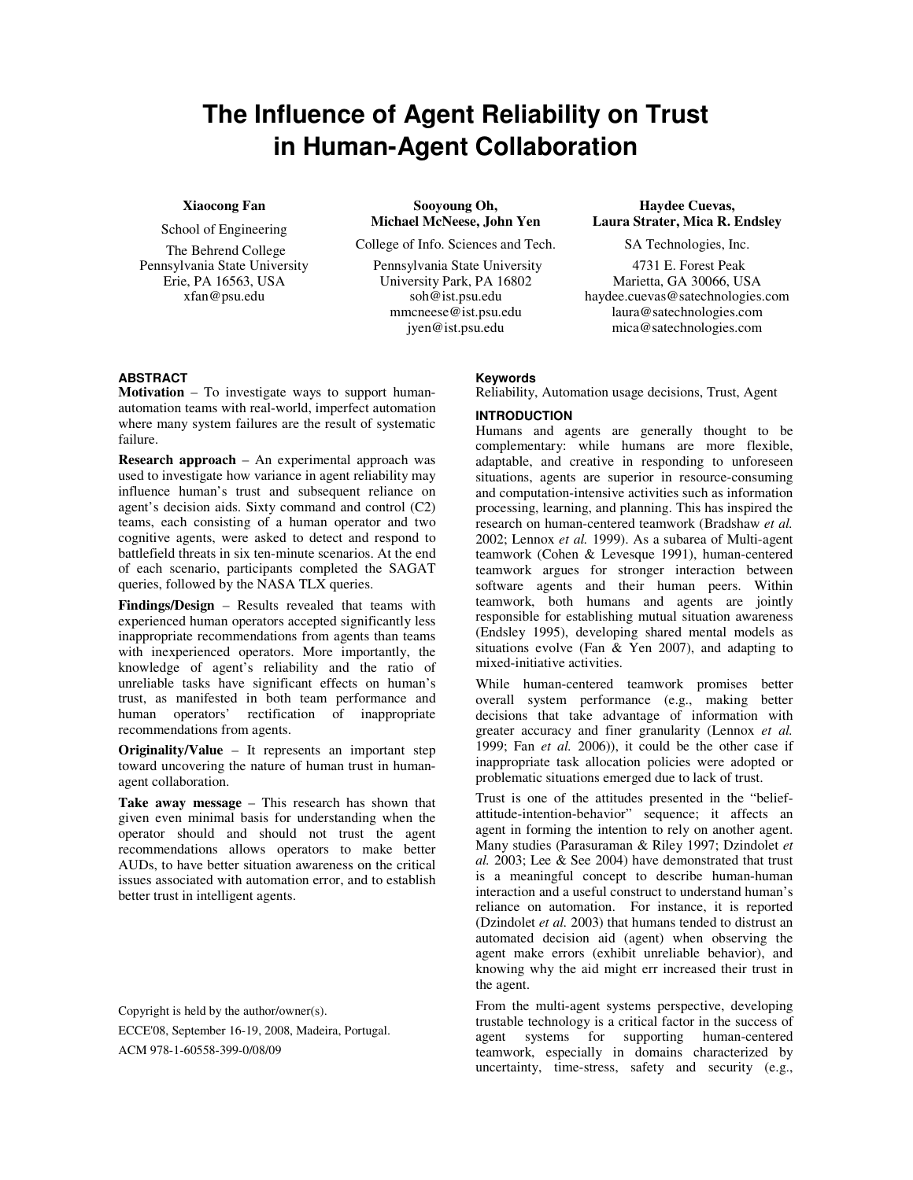# **The Influence of Agent Reliability on Trust in Human-Agent Collaboration**

# **Xiaocong Fan**

School of Engineering

 The Behrend College Pennsylvania State University Erie, PA 16563, USA xfan@psu.edu

**Sooyoung Oh, Michael McNeese, John Yen** 

College of Info. Sciences and Tech.

 Pennsylvania State University University Park, PA 16802 soh@ist.psu.edu mmcneese@ist.psu.edu jyen@ist.psu.edu

**Haydee Cuevas, Laura Strater, Mica R. Endsley** 

SA Technologies, Inc.

 4731 E. Forest Peak Marietta, GA 30066, USA haydee.cuevas@satechnologies.com laura@satechnologies.com mica@satechnologies.com

## **ABSTRACT**

**Motivation** – To investigate ways to support humanautomation teams with real-world, imperfect automation where many system failures are the result of systematic failure.

**Research approach** – An experimental approach was used to investigate how variance in agent reliability may influence human's trust and subsequent reliance on agent's decision aids. Sixty command and control (C2) teams, each consisting of a human operator and two cognitive agents, were asked to detect and respond to battlefield threats in six ten-minute scenarios. At the end of each scenario, participants completed the SAGAT queries, followed by the NASA TLX queries.

**Findings/Design** – Results revealed that teams with experienced human operators accepted significantly less inappropriate recommendations from agents than teams with inexperienced operators. More importantly, the knowledge of agent's reliability and the ratio of unreliable tasks have significant effects on human's trust, as manifested in both team performance and human operators' rectification of inappropriate recommendations from agents.

**Originality/Value** – It represents an important step toward uncovering the nature of human trust in humanagent collaboration.

**Take away message** – This research has shown that given even minimal basis for understanding when the operator should and should not trust the agent recommendations allows operators to make better AUDs, to have better situation awareness on the critical issues associated with automation error, and to establish better trust in intelligent agents.

Copyright is held by the author/owner(s).

ECCE'08, September 16-19, 2008, Madeira, Portugal. ACM 978-1-60558-399-0/08/09

#### **Keywords**

Reliability, Automation usage decisions, Trust, Agent

#### **INTRODUCTION**

Humans and agents are generally thought to be complementary: while humans are more flexible, adaptable, and creative in responding to unforeseen situations, agents are superior in resource-consuming and computation-intensive activities such as information processing, learning, and planning. This has inspired the research on human-centered teamwork (Bradshaw *et al.*  2002; Lennox *et al.* 1999). As a subarea of Multi-agent teamwork (Cohen & Levesque 1991), human-centered teamwork argues for stronger interaction between software agents and their human peers. Within teamwork, both humans and agents are jointly responsible for establishing mutual situation awareness (Endsley 1995), developing shared mental models as situations evolve (Fan & Yen 2007), and adapting to mixed-initiative activities.

While human-centered teamwork promises better overall system performance (e.g., making better decisions that take advantage of information with greater accuracy and finer granularity (Lennox *et al.*  1999; Fan *et al.* 2006)), it could be the other case if inappropriate task allocation policies were adopted or problematic situations emerged due to lack of trust.

Trust is one of the attitudes presented in the "beliefattitude-intention-behavior" sequence; it affects an agent in forming the intention to rely on another agent. Many studies (Parasuraman & Riley 1997; Dzindolet *et al.* 2003; Lee & See 2004) have demonstrated that trust is a meaningful concept to describe human-human interaction and a useful construct to understand human's reliance on automation. For instance, it is reported (Dzindolet *et al.* 2003) that humans tended to distrust an automated decision aid (agent) when observing the agent make errors (exhibit unreliable behavior), and knowing why the aid might err increased their trust in the agent.

From the multi-agent systems perspective, developing trustable technology is a critical factor in the success of agent systems for supporting human-centered teamwork, especially in domains characterized by uncertainty, time-stress, safety and security (e.g.,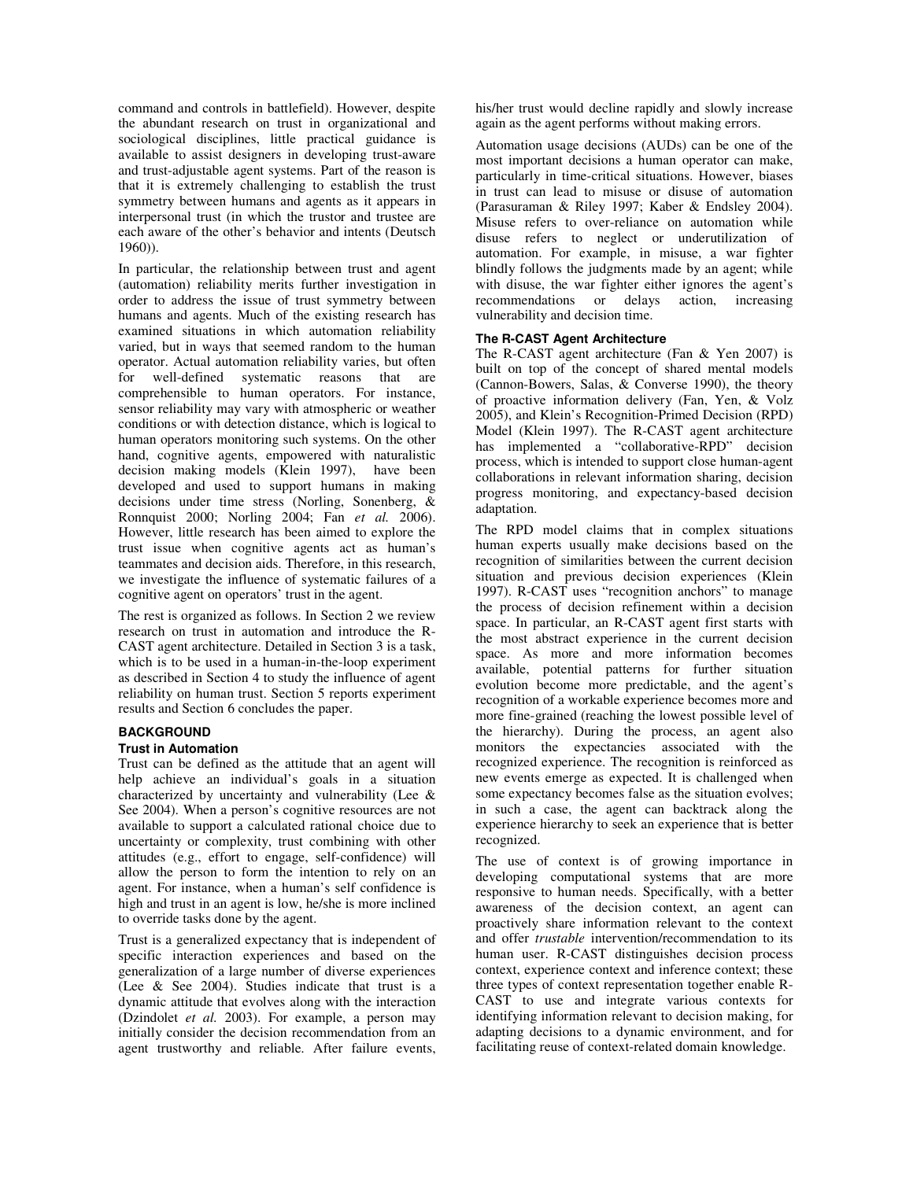command and controls in battlefield). However, despite the abundant research on trust in organizational and sociological disciplines, little practical guidance is available to assist designers in developing trust-aware and trust-adjustable agent systems. Part of the reason is that it is extremely challenging to establish the trust symmetry between humans and agents as it appears in interpersonal trust (in which the trustor and trustee are each aware of the other's behavior and intents (Deutsch 1960)).

In particular, the relationship between trust and agent (automation) reliability merits further investigation in order to address the issue of trust symmetry between humans and agents. Much of the existing research has examined situations in which automation reliability varied, but in ways that seemed random to the human operator. Actual automation reliability varies, but often for well-defined systematic reasons that are comprehensible to human operators. For instance, sensor reliability may vary with atmospheric or weather conditions or with detection distance, which is logical to human operators monitoring such systems. On the other hand, cognitive agents, empowered with naturalistic decision making models (Klein 1997), have been developed and used to support humans in making decisions under time stress (Norling, Sonenberg, & Ronnquist 2000; Norling 2004; Fan *et al.* 2006). However, little research has been aimed to explore the trust issue when cognitive agents act as human's teammates and decision aids. Therefore, in this research, we investigate the influence of systematic failures of a cognitive agent on operators' trust in the agent.

The rest is organized as follows. In Section 2 we review research on trust in automation and introduce the R-CAST agent architecture. Detailed in Section 3 is a task, which is to be used in a human-in-the-loop experiment as described in Section 4 to study the influence of agent reliability on human trust. Section 5 reports experiment results and Section 6 concludes the paper.

#### **BACKGROUND**

#### **Trust in Automation**

Trust can be defined as the attitude that an agent will help achieve an individual's goals in a situation characterized by uncertainty and vulnerability (Lee & See 2004). When a person's cognitive resources are not available to support a calculated rational choice due to uncertainty or complexity, trust combining with other attitudes (e.g., effort to engage, self-confidence) will allow the person to form the intention to rely on an agent. For instance, when a human's self confidence is high and trust in an agent is low, he/she is more inclined to override tasks done by the agent.

Trust is a generalized expectancy that is independent of specific interaction experiences and based on the generalization of a large number of diverse experiences (Lee & See 2004). Studies indicate that trust is a dynamic attitude that evolves along with the interaction (Dzindolet *et al.* 2003). For example, a person may initially consider the decision recommendation from an agent trustworthy and reliable. After failure events, his/her trust would decline rapidly and slowly increase again as the agent performs without making errors.

Automation usage decisions (AUDs) can be one of the most important decisions a human operator can make, particularly in time-critical situations. However, biases in trust can lead to misuse or disuse of automation (Parasuraman & Riley 1997; Kaber & Endsley 2004). Misuse refers to over-reliance on automation while disuse refers to neglect or underutilization of automation. For example, in misuse, a war fighter blindly follows the judgments made by an agent; while with disuse, the war fighter either ignores the agent's recommendations or delays action, increasing vulnerability and decision time.

#### **The R-CAST Agent Architecture**

The R-CAST agent architecture (Fan & Yen 2007) is built on top of the concept of shared mental models (Cannon-Bowers, Salas, & Converse 1990), the theory of proactive information delivery (Fan, Yen, & Volz 2005), and Klein's Recognition-Primed Decision (RPD) Model (Klein 1997). The R-CAST agent architecture has implemented a "collaborative-RPD" decision process, which is intended to support close human-agent collaborations in relevant information sharing, decision progress monitoring, and expectancy-based decision adaptation.

The RPD model claims that in complex situations human experts usually make decisions based on the recognition of similarities between the current decision situation and previous decision experiences (Klein 1997). R-CAST uses "recognition anchors" to manage the process of decision refinement within a decision space. In particular, an R-CAST agent first starts with the most abstract experience in the current decision space. As more and more information becomes available, potential patterns for further situation evolution become more predictable, and the agent's recognition of a workable experience becomes more and more fine-grained (reaching the lowest possible level of the hierarchy). During the process, an agent also monitors the expectancies associated with the recognized experience. The recognition is reinforced as new events emerge as expected. It is challenged when some expectancy becomes false as the situation evolves; in such a case, the agent can backtrack along the experience hierarchy to seek an experience that is better recognized.

The use of context is of growing importance in developing computational systems that are more responsive to human needs. Specifically, with a better awareness of the decision context, an agent can proactively share information relevant to the context and offer *trustable* intervention/recommendation to its human user. R-CAST distinguishes decision process context, experience context and inference context; these three types of context representation together enable R-CAST to use and integrate various contexts for identifying information relevant to decision making, for adapting decisions to a dynamic environment, and for facilitating reuse of context-related domain knowledge.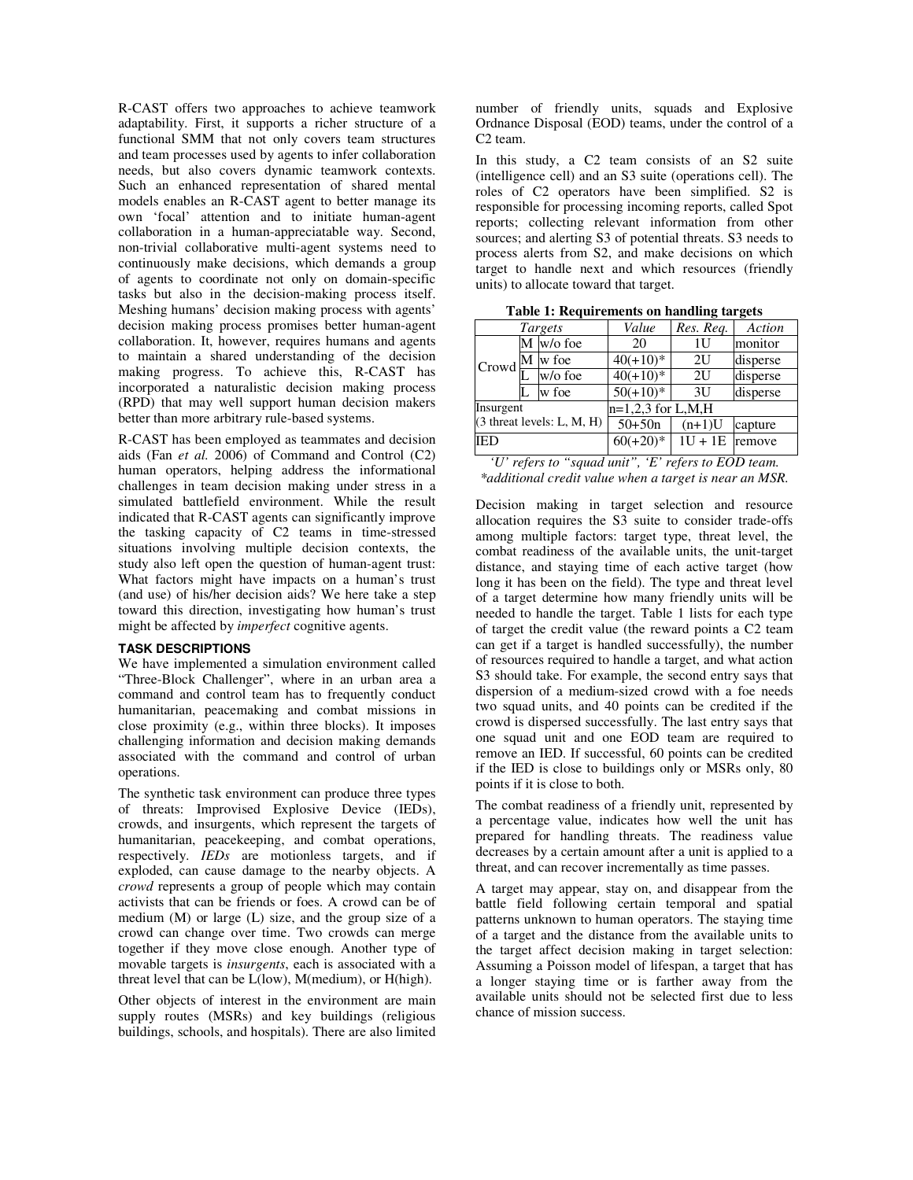R-CAST offers two approaches to achieve teamwork adaptability. First, it supports a richer structure of a functional SMM that not only covers team structures and team processes used by agents to infer collaboration needs, but also covers dynamic teamwork contexts. Such an enhanced representation of shared mental models enables an R-CAST agent to better manage its own 'focal' attention and to initiate human-agent collaboration in a human-appreciatable way. Second, non-trivial collaborative multi-agent systems need to continuously make decisions, which demands a group of agents to coordinate not only on domain-specific tasks but also in the decision-making process itself. Meshing humans' decision making process with agents' decision making process promises better human-agent collaboration. It, however, requires humans and agents to maintain a shared understanding of the decision making progress. To achieve this, R-CAST has incorporated a naturalistic decision making process (RPD) that may well support human decision makers better than more arbitrary rule-based systems.

R-CAST has been employed as teammates and decision aids (Fan *et al.* 2006) of Command and Control (C2) human operators, helping address the informational challenges in team decision making under stress in a simulated battlefield environment. While the result indicated that R-CAST agents can significantly improve the tasking capacity of C2 teams in time-stressed situations involving multiple decision contexts, the study also left open the question of human-agent trust: What factors might have impacts on a human's trust (and use) of his/her decision aids? We here take a step toward this direction, investigating how human's trust might be affected by *imperfect* cognitive agents.

#### **TASK DESCRIPTIONS**

We have implemented a simulation environment called "Three-Block Challenger", where in an urban area a command and control team has to frequently conduct humanitarian, peacemaking and combat missions in close proximity (e.g., within three blocks). It imposes challenging information and decision making demands associated with the command and control of urban operations.

The synthetic task environment can produce three types of threats: Improvised Explosive Device (IEDs), crowds, and insurgents, which represent the targets of humanitarian, peacekeeping, and combat operations, respectively. *IEDs* are motionless targets, and if exploded, can cause damage to the nearby objects. A *crowd* represents a group of people which may contain activists that can be friends or foes. A crowd can be of medium (M) or large (L) size, and the group size of a crowd can change over time. Two crowds can merge together if they move close enough. Another type of movable targets is *insurgents*, each is associated with a threat level that can be L(low), M(medium), or H(high).

Other objects of interest in the environment are main supply routes (MSRs) and key buildings (religious buildings, schools, and hospitals). There are also limited number of friendly units, squads and Explosive Ordnance Disposal (EOD) teams, under the control of a C2 team.

In this study, a C2 team consists of an S2 suite (intelligence cell) and an S3 suite (operations cell). The roles of C2 operators have been simplified. S2 is responsible for processing incoming reports, called Spot reports; collecting relevant information from other sources; and alerting S3 of potential threats. S3 needs to process alerts from S2, and make decisions on which target to handle next and which resources (friendly units) to allocate toward that target.

| Targets                              |  |             | Value               | Res. Req.        | Action   |  |
|--------------------------------------|--|-------------|---------------------|------------------|----------|--|
| Crowd                                |  | $M$ w/o foe | 20                  | 1U               | monitor  |  |
|                                      |  | M w foe     | $40(+10)*$          | 2U               | disperse |  |
|                                      |  | w/o foe     | $40(+10)*$          | 2U               | disperse |  |
|                                      |  | w foe       | $50(+10)^{*}$       | 3U               | disperse |  |
| Insurgent                            |  |             | $n=1,2,3$ for L,M,H |                  |          |  |
| $(3 \text{ threat levels: L, M, H})$ |  |             | $50+50n$            | $(n+1)U$         | capture  |  |
| <b>IED</b>                           |  |             | $60(+20)*$          | $1U + 1E$ remove |          |  |
|                                      |  |             |                     |                  |          |  |

**Table 1: Requirements on handling targets** 

*'U' refers to "squad unit", 'E' refers to EOD team. \*additional credit value when a target is near an MSR.* 

Decision making in target selection and resource allocation requires the S3 suite to consider trade-offs among multiple factors: target type, threat level, the combat readiness of the available units, the unit-target distance, and staying time of each active target (how long it has been on the field). The type and threat level of a target determine how many friendly units will be needed to handle the target. Table 1 lists for each type of target the credit value (the reward points a C2 team can get if a target is handled successfully), the number of resources required to handle a target, and what action S3 should take. For example, the second entry says that dispersion of a medium-sized crowd with a foe needs two squad units, and 40 points can be credited if the crowd is dispersed successfully. The last entry says that one squad unit and one EOD team are required to remove an IED. If successful, 60 points can be credited if the IED is close to buildings only or MSRs only, 80 points if it is close to both.

The combat readiness of a friendly unit, represented by a percentage value, indicates how well the unit has prepared for handling threats. The readiness value decreases by a certain amount after a unit is applied to a threat, and can recover incrementally as time passes.

A target may appear, stay on, and disappear from the battle field following certain temporal and spatial patterns unknown to human operators. The staying time of a target and the distance from the available units to the target affect decision making in target selection: Assuming a Poisson model of lifespan, a target that has a longer staying time or is farther away from the available units should not be selected first due to less chance of mission success.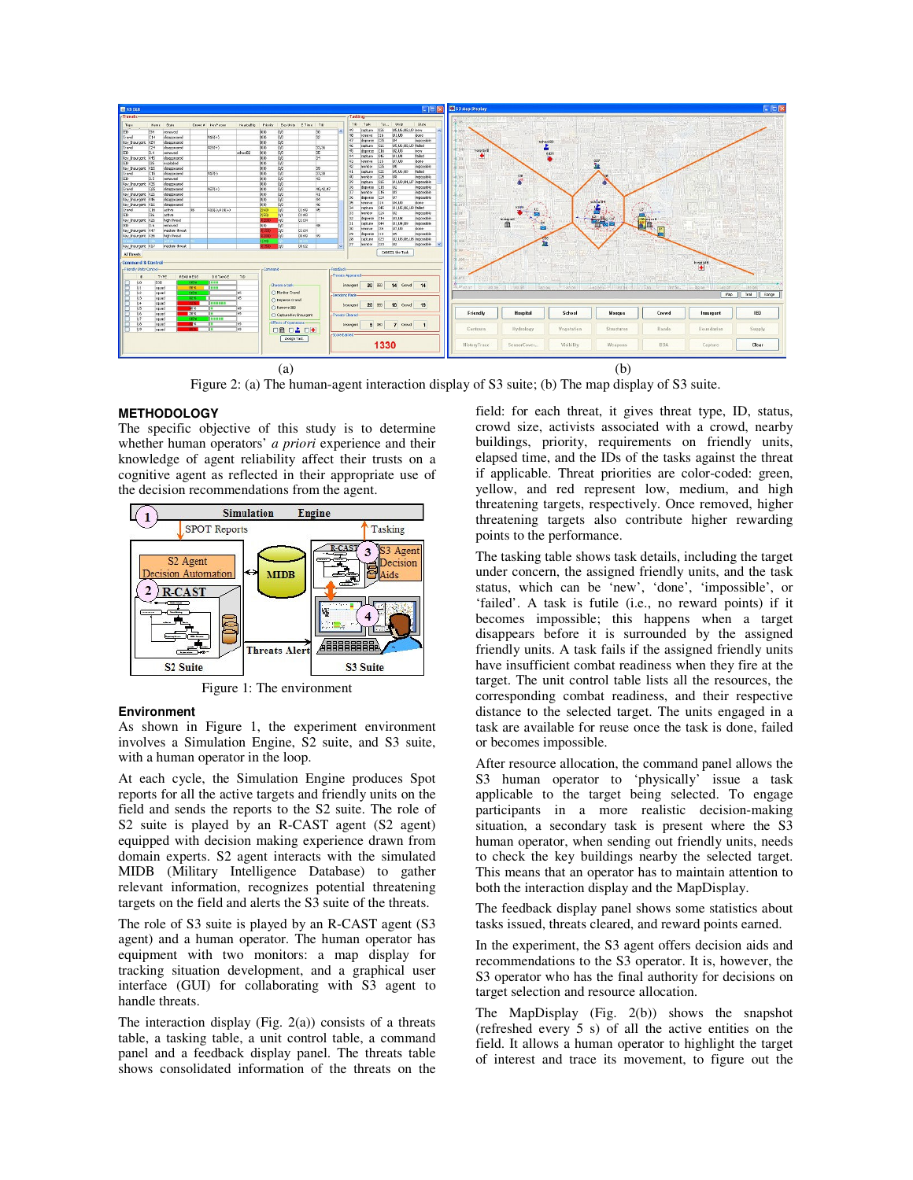

Figure 2: (a) The human-agent interaction display of S3 suite; (b) The map display of S3 suite.

#### **METHODOLOGY**

The specific objective of this study is to determine whether human operators' *a priori* experience and their knowledge of agent reliability affect their trusts on a cognitive agent as reflected in their appropriate use of the decision recommendations from the agent.



Figure 1: The environment

## **Environment**

As shown in Figure 1, the experiment environment involves a Simulation Engine, S2 suite, and S3 suite, with a human operator in the loop.

At each cycle, the Simulation Engine produces Spot reports for all the active targets and friendly units on the field and sends the reports to the S2 suite. The role of S2 suite is played by an R-CAST agent (S2 agent) equipped with decision making experience drawn from domain experts. S2 agent interacts with the simulated MIDB (Military Intelligence Database) to gather relevant information, recognizes potential threatening targets on the field and alerts the S3 suite of the threats.

The role of S3 suite is played by an R-CAST agent (S3 agent) and a human operator. The human operator has equipment with two monitors: a map display for tracking situation development, and a graphical user interface (GUI) for collaborating with S3 agent to handle threats.

The interaction display (Fig.  $2(a)$ ) consists of a threats table, a tasking table, a unit control table, a command panel and a feedback display panel. The threats table shows consolidated information of the threats on the field: for each threat, it gives threat type, ID, status, crowd size, activists associated with a crowd, nearby buildings, priority, requirements on friendly units, elapsed time, and the IDs of the tasks against the threat if applicable. Threat priorities are color-coded: green, yellow, and red represent low, medium, and high threatening targets, respectively. Once removed, higher threatening targets also contribute higher rewarding points to the performance.

The tasking table shows task details, including the target under concern, the assigned friendly units, and the task status, which can be 'new', 'done', 'impossible', or 'failed'. A task is futile (i.e., no reward points) if it becomes impossible; this happens when a target disappears before it is surrounded by the assigned friendly units. A task fails if the assigned friendly units have insufficient combat readiness when they fire at the target. The unit control table lists all the resources, the corresponding combat readiness, and their respective distance to the selected target. The units engaged in a task are available for reuse once the task is done, failed or becomes impossible.

After resource allocation, the command panel allows the S3 human operator to 'physically' issue a task applicable to the target being selected. To engage participants in a more realistic decision-making situation, a secondary task is present where the S3 human operator, when sending out friendly units, needs to check the key buildings nearby the selected target. This means that an operator has to maintain attention to both the interaction display and the MapDisplay.

The feedback display panel shows some statistics about tasks issued, threats cleared, and reward points earned.

In the experiment, the S3 agent offers decision aids and recommendations to the S3 operator. It is, however, the S3 operator who has the final authority for decisions on target selection and resource allocation.

The MapDisplay (Fig. 2(b)) shows the snapshot (refreshed every 5 s) of all the active entities on the field. It allows a human operator to highlight the target of interest and trace its movement, to figure out the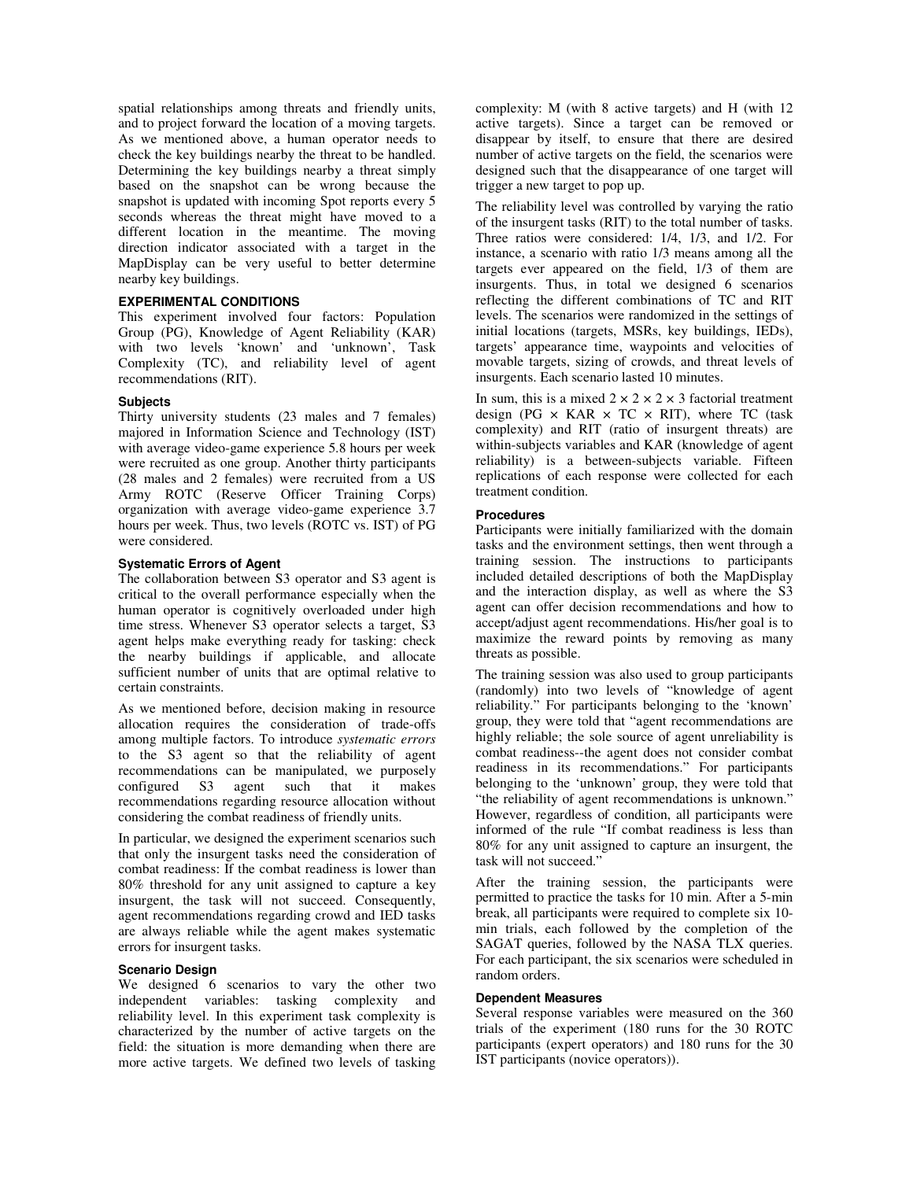spatial relationships among threats and friendly units, and to project forward the location of a moving targets. As we mentioned above, a human operator needs to check the key buildings nearby the threat to be handled. Determining the key buildings nearby a threat simply based on the snapshot can be wrong because the snapshot is updated with incoming Spot reports every 5 seconds whereas the threat might have moved to a different location in the meantime. The moving direction indicator associated with a target in the MapDisplay can be very useful to better determine nearby key buildings.

## **EXPERIMENTAL CONDITIONS**

This experiment involved four factors: Population Group (PG), Knowledge of Agent Reliability (KAR) with two levels 'known' and 'unknown', Task Complexity (TC), and reliability level of agent recommendations (RIT).

#### **Subjects**

Thirty university students (23 males and 7 females) majored in Information Science and Technology (IST) with average video-game experience 5.8 hours per week were recruited as one group. Another thirty participants (28 males and 2 females) were recruited from a US Army ROTC (Reserve Officer Training Corps) organization with average video-game experience 3.7 hours per week. Thus, two levels (ROTC vs. IST) of PG were considered.

## **Systematic Errors of Agent**

The collaboration between S3 operator and S3 agent is critical to the overall performance especially when the human operator is cognitively overloaded under high time stress. Whenever S3 operator selects a target, S3 agent helps make everything ready for tasking: check the nearby buildings if applicable, and allocate sufficient number of units that are optimal relative to certain constraints.

As we mentioned before, decision making in resource allocation requires the consideration of trade-offs among multiple factors. To introduce *systematic errors* to the S3 agent so that the reliability of agent recommendations can be manipulated, we purposely configured S3 agent such that it makes recommendations regarding resource allocation without considering the combat readiness of friendly units.

In particular, we designed the experiment scenarios such that only the insurgent tasks need the consideration of combat readiness: If the combat readiness is lower than 80% threshold for any unit assigned to capture a key insurgent, the task will not succeed. Consequently, agent recommendations regarding crowd and IED tasks are always reliable while the agent makes systematic errors for insurgent tasks.

#### **Scenario Design**

We designed 6 scenarios to vary the other two independent variables: tasking complexity and reliability level. In this experiment task complexity is characterized by the number of active targets on the field: the situation is more demanding when there are more active targets. We defined two levels of tasking complexity: M (with 8 active targets) and H (with 12 active targets). Since a target can be removed or disappear by itself, to ensure that there are desired number of active targets on the field, the scenarios were designed such that the disappearance of one target will trigger a new target to pop up.

The reliability level was controlled by varying the ratio of the insurgent tasks (RIT) to the total number of tasks. Three ratios were considered: 1/4, 1/3, and 1/2. For instance, a scenario with ratio 1/3 means among all the targets ever appeared on the field, 1/3 of them are insurgents. Thus, in total we designed 6 scenarios reflecting the different combinations of TC and RIT levels. The scenarios were randomized in the settings of initial locations (targets, MSRs, key buildings, IEDs), targets' appearance time, waypoints and velocities of movable targets, sizing of crowds, and threat levels of insurgents. Each scenario lasted 10 minutes.

In sum, this is a mixed  $2 \times 2 \times 2 \times 3$  factorial treatment design (PG  $\times$  KAR  $\times$  TC  $\times$  RIT), where TC (task complexity) and RIT (ratio of insurgent threats) are within-subjects variables and KAR (knowledge of agent reliability) is a between-subjects variable. Fifteen replications of each response were collected for each treatment condition.

## **Procedures**

Participants were initially familiarized with the domain tasks and the environment settings, then went through a training session. The instructions to participants included detailed descriptions of both the MapDisplay and the interaction display, as well as where the S3 agent can offer decision recommendations and how to accept/adjust agent recommendations. His/her goal is to maximize the reward points by removing as many threats as possible.

The training session was also used to group participants (randomly) into two levels of "knowledge of agent reliability." For participants belonging to the 'known' group, they were told that "agent recommendations are highly reliable; the sole source of agent unreliability is combat readiness--the agent does not consider combat readiness in its recommendations." For participants belonging to the 'unknown' group, they were told that "the reliability of agent recommendations is unknown." However, regardless of condition, all participants were informed of the rule "If combat readiness is less than 80% for any unit assigned to capture an insurgent, the task will not succeed."

After the training session, the participants were permitted to practice the tasks for 10 min. After a 5-min break, all participants were required to complete six 10 min trials, each followed by the completion of the SAGAT queries, followed by the NASA TLX queries. For each participant, the six scenarios were scheduled in random orders.

#### **Dependent Measures**

Several response variables were measured on the 360 trials of the experiment (180 runs for the 30 ROTC participants (expert operators) and 180 runs for the 30 IST participants (novice operators)).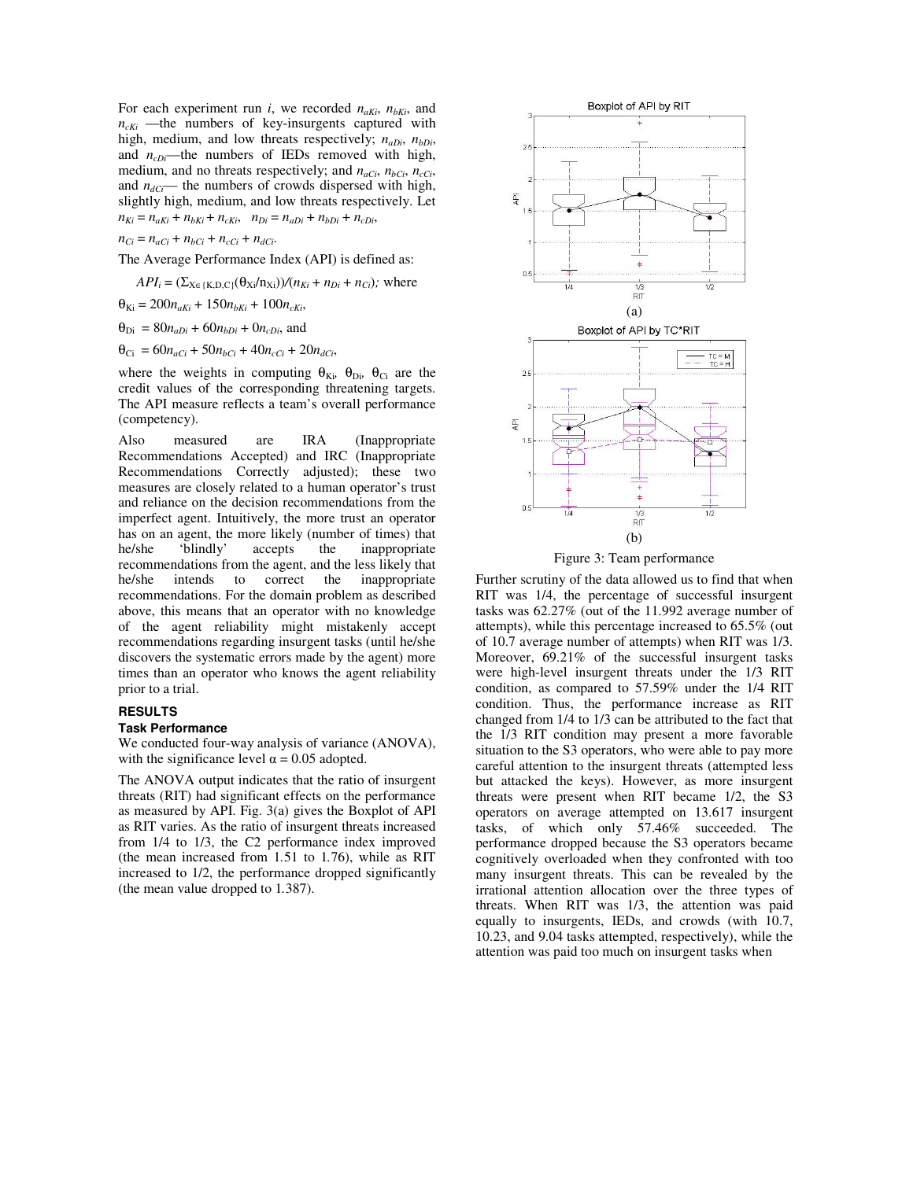For each experiment run *i*, we recorded  $n_{aKi}$ ,  $n_{bKi}$ , and  $n_{cKi}$  —the numbers of key-insurgents captured with high, medium, and low threats respectively;  $n_{aDi}$ ,  $n_{bDi}$ , and *n<sub>cDi</sub>*—the numbers of IEDs removed with high, medium, and no threats respectively; and *naCi*, *nbCi*, *ncCi*, and  $n_{dC}$ — the numbers of crowds dispersed with high, slightly high, medium, and low threats respectively. Let  $n_{Ki} = n_{aKi} + n_{bKi} + n_{cKi}$ ,  $n_{Di} = n_{aDi} + n_{bDi} + n_{cDi}$ ,

$$
n_{Ci} = n_{aCi} + n_{bCi} + n_{cCi} + n_{dCi}.
$$

The Average Performance Index (API) is defined as:

 $API_i = (\sum_{X \in \{K, D, C\}} (\theta_{Xi}/n_{Xi}))/(n_{Ki} + n_{Di} + n_{Ci})$ ; where

$$
\Theta_{\text{Ki}} = 200 n_{aKi} + 150 n_{bKi} + 100 n_{cKi},
$$

 $\theta_{\text{Di}} = 80n_{aDi} + 60n_{bDi} + 0n_{cDi}$ , and

 $\theta_{Ci} = 60n_{aCi} + 50n_{bCi} + 40n_{cCi} + 20n_{dCi}$ 

where the weights in computing  $\theta_{\text{Ki}}$ ,  $\theta_{\text{Di}}$ ,  $\theta_{\text{Ci}}$  are the credit values of the corresponding threatening targets. The API measure reflects a team's overall performance (competency).

Also measured are IRA (Inappropriate Recommendations Accepted) and IRC (Inappropriate Recommendations Correctly adjusted); these two measures are closely related to a human operator's trust and reliance on the decision recommendations from the imperfect agent. Intuitively, the more trust an operator has on an agent, the more likely (number of times) that he/she the inappropriate he/she 'blindly' accepts the inappropriate recommendations from the agent, and the less likely that he/she intends to correct the inappropriate recommendations. For the domain problem as described above, this means that an operator with no knowledge of the agent reliability might mistakenly accept recommendations regarding insurgent tasks (until he/she discovers the systematic errors made by the agent) more times than an operator who knows the agent reliability prior to a trial.

#### **RESULTS**

#### **Task Performance**

We conducted four-way analysis of variance (ANOVA), with the significance level  $\alpha = 0.05$  adopted.

The ANOVA output indicates that the ratio of insurgent threats (RIT) had significant effects on the performance as measured by API. Fig. 3(a) gives the Boxplot of API as RIT varies. As the ratio of insurgent threats increased from 1/4 to 1/3, the C2 performance index improved (the mean increased from 1*.*51 to 1*.*76), while as RIT increased to 1/2, the performance dropped significantly (the mean value dropped to 1*.*387).





Further scrutiny of the data allowed us to find that when RIT was 1/4, the percentage of successful insurgent tasks was 62.27% (out of the 11.992 average number of attempts), while this percentage increased to 65.5% (out of 10.7 average number of attempts) when RIT was 1/3. Moreover, 69.21% of the successful insurgent tasks were high-level insurgent threats under the 1/3 RIT condition, as compared to 57.59% under the 1/4 RIT condition. Thus, the performance increase as RIT changed from 1/4 to 1/3 can be attributed to the fact that the 1/3 RIT condition may present a more favorable situation to the S3 operators, who were able to pay more careful attention to the insurgent threats (attempted less but attacked the keys). However, as more insurgent threats were present when RIT became 1/2, the S3 operators on average attempted on 13.617 insurgent tasks, of which only 57.46% succeeded. The performance dropped because the S3 operators became cognitively overloaded when they confronted with too many insurgent threats. This can be revealed by the irrational attention allocation over the three types of threats. When RIT was 1/3, the attention was paid equally to insurgents, IEDs, and crowds (with 10.7, 10.23, and 9.04 tasks attempted, respectively), while the attention was paid too much on insurgent tasks when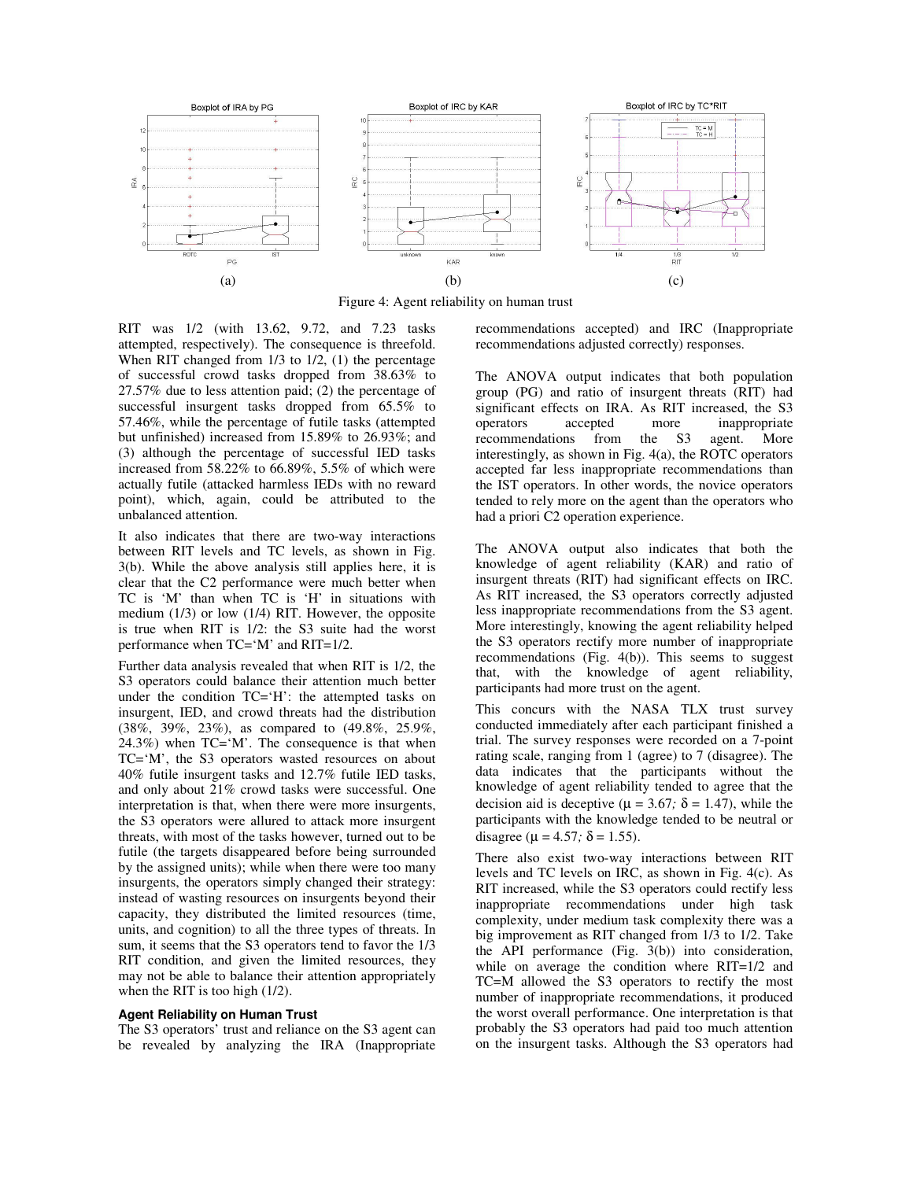

Figure 4: Agent reliability on human trust

RIT was 1/2 (with 13.62, 9.72, and 7.23 tasks attempted, respectively). The consequence is threefold. When RIT changed from  $1/3$  to  $1/2$ ,  $(1)$  the percentage of successful crowd tasks dropped from 38.63% to 27.57% due to less attention paid; (2) the percentage of successful insurgent tasks dropped from 65.5% to 57.46%, while the percentage of futile tasks (attempted but unfinished) increased from 15.89% to 26.93%; and (3) although the percentage of successful IED tasks increased from 58.22% to 66.89%, 5.5% of which were actually futile (attacked harmless IEDs with no reward point), which, again, could be attributed to the unbalanced attention.

It also indicates that there are two-way interactions between RIT levels and TC levels, as shown in Fig. 3(b). While the above analysis still applies here, it is clear that the C2 performance were much better when TC is 'M' than when TC is 'H' in situations with medium (1/3) or low (1/4) RIT. However, the opposite is true when RIT is 1/2: the S3 suite had the worst performance when TC='M' and RIT=1/2.

Further data analysis revealed that when RIT is 1/2, the S3 operators could balance their attention much better under the condition TC='H': the attempted tasks on insurgent, IED, and crowd threats had the distribution (38%, 39%, 23%), as compared to (49.8%, 25.9%,  $24.3\%$ ) when TC= $^{\circ}$ M'. The consequence is that when TC='M', the S3 operators wasted resources on about 40% futile insurgent tasks and 12.7% futile IED tasks, and only about 21% crowd tasks were successful. One interpretation is that, when there were more insurgents, the S3 operators were allured to attack more insurgent threats, with most of the tasks however, turned out to be futile (the targets disappeared before being surrounded by the assigned units); while when there were too many insurgents, the operators simply changed their strategy: instead of wasting resources on insurgents beyond their capacity, they distributed the limited resources (time, units, and cognition) to all the three types of threats. In sum, it seems that the S3 operators tend to favor the 1/3 RIT condition, and given the limited resources, they may not be able to balance their attention appropriately when the RIT is too high (1/2).

#### **Agent Reliability on Human Trust**

The S3 operators' trust and reliance on the S3 agent can be revealed by analyzing the IRA (Inappropriate recommendations accepted) and IRC (Inappropriate recommendations adjusted correctly) responses.

The ANOVA output indicates that both population group (PG) and ratio of insurgent threats (RIT) had significant effects on IRA. As RIT increased, the S3 operators accepted more inappropriate recommendations from the S3 agent. More interestingly, as shown in Fig. 4(a), the ROTC operators accepted far less inappropriate recommendations than the IST operators. In other words, the novice operators tended to rely more on the agent than the operators who had a priori C2 operation experience.

The ANOVA output also indicates that both the knowledge of agent reliability (KAR) and ratio of insurgent threats (RIT) had significant effects on IRC. As RIT increased, the S3 operators correctly adjusted less inappropriate recommendations from the S3 agent. More interestingly, knowing the agent reliability helped the S3 operators rectify more number of inappropriate recommendations (Fig. 4(b)). This seems to suggest that, with the knowledge of agent reliability, participants had more trust on the agent.

This concurs with the NASA TLX trust survey conducted immediately after each participant finished a trial. The survey responses were recorded on a 7-point rating scale, ranging from 1 (agree) to 7 (disagree). The data indicates that the participants without the knowledge of agent reliability tended to agree that the decision aid is deceptive ( $\mu$  = 3.67*;*  $\delta$  = 1.47), while the participants with the knowledge tended to be neutral or disagree ( $\mu$  = 4.57*;*  $\delta$  = 1.55).

There also exist two-way interactions between RIT levels and TC levels on IRC, as shown in Fig. 4(c). As RIT increased, while the S3 operators could rectify less inappropriate recommendations under high task complexity, under medium task complexity there was a big improvement as RIT changed from 1/3 to 1/2. Take the API performance (Fig. 3(b)) into consideration, while on average the condition where RIT=1/2 and TC=M allowed the S3 operators to rectify the most number of inappropriate recommendations, it produced the worst overall performance. One interpretation is that probably the S3 operators had paid too much attention on the insurgent tasks. Although the S3 operators had